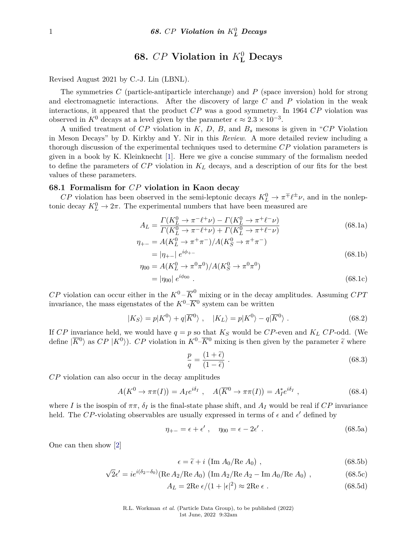# $68.$  *CP* Violation in  $K^0_L$  Decays

Revised August 2021 by C.-J. Lin (LBNL).

The symmetries *C* (particle-antiparticle interchange) and *P* (space inversion) hold for strong and electromagnetic interactions. After the discovery of large *C* and *P* violation in the weak interactions, it appeared that the product *CP* was a good symmetry. In 1964 *CP* violation was observed in  $K^0$  decays at a level given by the parameter  $\epsilon \approx 2.3 \times 10^{-3}$ .

A unified treatment of *CP* violation in *K*, *D*, *B*, and *B<sup>s</sup>* mesons is given in "*CP* Violation in Meson Decays" by D. Kirkby and Y. Nir in this *Review*. A more detailed review including a thorough discussion of the experimental techniques used to determine *CP* violation parameters is given in a book by K. Kleinknecht [\[1\]](#page-7-0). Here we give a concise summary of the formalism needed to define the parameters of *CP* violation in *K<sup>L</sup>* decays, and a description of our fits for the best values of these parameters.

### **68.1 Formalism for** *CP* **violation in Kaon decay**

*CP* violation has been observed in the semi-leptonic decays  $K_L^0 \to \pi^{\mp} \ell^{\pm} \nu$ , and in the nonleptonic decay  $K^0_L \rightarrow 2\pi$ . The experimental numbers that have been measured are

$$
A_L = \frac{\Gamma(K_L^0 \to \pi^- \ell^+ \nu) - \Gamma(K_L^0 \to \pi^+ \ell^- \nu)}{\Gamma(K_L^0 \to \pi^- \ell^+ \nu) + \Gamma(K_L^0 \to \pi^+ \ell^- \nu)}
$$
(68.1a)

$$
\eta_{+-} = A(K_L^0 \to \pi^+ \pi^-) / A(K_S^0 \to \pi^+ \pi^-)
$$
  
=  $|\eta_{+-}| e^{i\phi_{+-}}$  (68.1b)

$$
\eta_{00} = A(K_L^0 \to \pi^0 \pi^0) / A(K_S^0 \to \pi^0 \pi^0)
$$
  
=  $|\eta_{00}| e^{i\phi_{00}}$ . (68.1c)

 $CP$  violation can occur either in the  $K^0$  –  $\overline{K}^0$  mixing or in the decay amplitudes. Assuming *CPT* invariance, the mass eigenstates of the  $K^0$ – $\overline{K}$ <sup>0</sup> system can be written

$$
|K_S\rangle = p|K^0\rangle + q|\overline{K}^0\rangle , \quad |K_L\rangle = p|K^0\rangle - q|\overline{K}^0\rangle . \tag{68.2}
$$

If *CP* invariance held, we would have  $q = p$  so that  $K_S$  would be *CP*-even and  $K_L$  *CP*-odd. (We define  $|\overline{K}^0\rangle$  as  $CP |K^0\rangle$ ). *CP* violation in  $K^0$ - $\overline{K}^0$  mixing is then given by the parameter  $\tilde{\epsilon}$  where

$$
\frac{p}{q} = \frac{(1+\tilde{\epsilon})}{(1-\tilde{\epsilon})} \ . \tag{68.3}
$$

*CP* violation can also occur in the decay amplitudes

$$
A(K^0 \to \pi\pi(I)) = A_I e^{i\delta_I} , \quad A(\overline{K}^0 \to \pi\pi(I)) = A_I^* e^{i\delta_I} , \qquad (68.4)
$$

where *I* is the isospin of  $\pi \pi$ ,  $\delta_I$  is the final-state phase shift, and  $A_I$  would be real if  $CP$  invariance held. The CP-violating observables are usually expressed in terms of  $\epsilon$  and  $\epsilon'$  defined by

$$
\eta_{+-} = \epsilon + \epsilon', \quad \eta_{00} = \epsilon - 2\epsilon' \,. \tag{68.5a}
$$

One can then show [\[2\]](#page-7-1)

$$
\epsilon = \tilde{\epsilon} + i \left( \text{Im} \, A_0 / \text{Re} \, A_0 \right) \,, \tag{68.5b}
$$

$$
\sqrt{2}\epsilon' = ie^{i(\delta_2 - \delta_0)}(\text{Re }A_2/\text{Re }A_0) (\text{Im }A_2/\text{Re }A_2 - \text{Im }A_0/\text{Re }A_0),
$$
\n(68.5c)

$$
A_L = 2\text{Re } \epsilon/(1 + |\epsilon|^2) \approx 2\text{Re } \epsilon \ . \tag{68.5d}
$$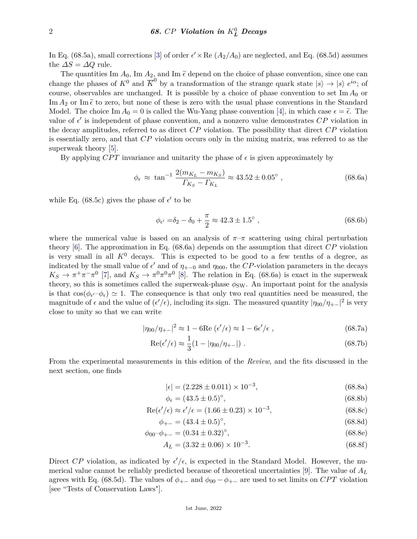In Eq. (68.5a), small corrections [\[3\]](#page-7-2) of order  $\epsilon' \times \text{Re} (A_2/A_0)$  are neglected, and Eq. (68.5d) assumes the  $\Delta S = \Delta Q$  rule.

The quantities Im  $A_0$ , Im  $A_2$ , and Im  $\tilde{\epsilon}$  depend on the choice of phase convention, since one can change the phases of  $K^0$  and  $\overline{K}^0$  by a transformation of the strange quark state  $|s\rangle \rightarrow |s\rangle e^{i\alpha}$ ; of course, observables are unchanged. It is possible by a choice of phase convention to set Im  $A_0$  or Im  $A_2$  or Im  $\tilde{\epsilon}$  to zero, but none of these is zero with the usual phase conventions in the Standard Model. The choice Im  $A_0 = 0$  is called the Wu-Yang phase convention [\[4\]](#page-7-3), in which case  $\epsilon = \tilde{\epsilon}$ . The value of  $\epsilon'$  is independent of phase convention, and a nonzero value demonstrates  $\overline{CP}$  violation in the decay amplitudes, referred to as direct *CP* violation. The possibility that direct *CP* violation is essentially zero, and that *CP* violation occurs only in the mixing matrix, was referred to as the superweak theory [\[5\]](#page-7-4).

By applying *CPT* invariance and unitarity the phase of  $\epsilon$  is given approximately by

$$
\phi_{\epsilon} \approx \tan^{-1} \frac{2(m_{K_L} - m_{K_S})}{\Gamma_{K_S} - \Gamma_{K_L}} \approx 43.52 \pm 0.05^{\circ} ,\qquad (68.6a)
$$

while Eq. (68.5c) gives the phase of  $\epsilon'$  to be

$$
\phi_{\epsilon'} = \delta_2 - \delta_0 + \frac{\pi}{2} \approx 42.3 \pm 1.5^{\circ} , \qquad (68.6b)
$$

where the numerical value is based on an analysis of  $\pi-\pi$  scattering using chiral perturbation theory [\[6\]](#page-7-5). The approximation in Eq. (68.6a) depends on the assumption that direct *CP* violation is very small in all  $K^0$  decays. This is expected to be good to a few tenths of a degree, as indicated by the small value of  $\epsilon'$  and of  $\eta_{+-0}$  and  $\eta_{000}$ , the *CP*-violation parameters in the decays  $K_S \to \pi^+\pi^-\pi^0$  [\[7\]](#page-7-6), and  $K_S \to \pi^0\pi^0\pi^0$  [\[8\]](#page-7-7). The relation in Eq. (68.6a) is exact in the superweak theory, so this is sometimes called the superweak-phase  $\phi_{SW}$ . An important point for the analysis is that  $\cos(\phi_{\epsilon'}-\phi_{\epsilon}) \simeq 1$ . The consequence is that only two real quantities need be measured, the magnitude of  $\epsilon$  and the value of  $(\epsilon'/\epsilon)$ , including its sign. The measured quantity  $|\eta_{00}/\eta_{+-}|^2$  is very close to unity so that we can write

$$
|\eta_{00}/\eta_{+-}|^2 \approx 1 - 6\text{Re}(\epsilon'/\epsilon) \approx 1 - 6\epsilon'/\epsilon \tag{68.7a}
$$

$$
Re(\epsilon'/\epsilon) \approx \frac{1}{3}(1 - |\eta_{00}/\eta_{+-}|) \tag{68.7b}
$$

From the experimental measurements in this edition of the *Review*, and the fits discussed in the next section, one finds

$$
|\epsilon| = (2.228 \pm 0.011) \times 10^{-3},\tag{68.8a}
$$

$$
\phi_{\epsilon} = (43.5 \pm 0.5)^{\circ},\tag{68.8b}
$$

$$
Re(\epsilon'/\epsilon) \approx \epsilon'/\epsilon = (1.66 \pm 0.23) \times 10^{-3},\tag{68.8c}
$$

$$
\phi_{+-} = (43.4 \pm 0.5)^{\circ},\tag{68.8d}
$$

$$
\phi_{00} - \phi_{+-} = (0.34 \pm 0.32)^{\circ},\tag{68.8e}
$$

$$
A_L = (3.32 \pm 0.06) \times 10^{-3}.
$$
\n(68.8f)

Direct CP violation, as indicated by  $\epsilon'/\epsilon$ , is expected in the Standard Model. However, the numerical value cannot be reliably predicted because of theoretical uncertainties [\[9\]](#page-7-8). The value of *A<sup>L</sup>* agrees with Eq. (68.5d). The values of  $\phi_{+-}$  and  $\phi_{00} - \phi_{+-}$  are used to set limits on *CPT* violation [see "Tests of Conservation Laws"].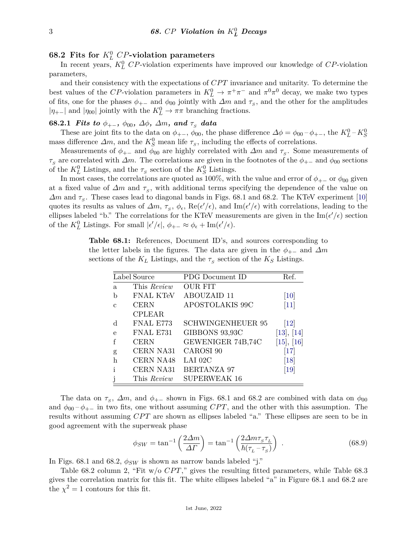## **68.2** Fits for  $K^0_L$  *CP*-violation parameters

In recent years,  $K^0_L$  *CP*-violation experiments have improved our knowledge of *CP*-violation parameters,

and their consistency with the expectations of *CP T* invariance and unitarity. To determine the best values of the *CP*-violation parameters in  $K^0_L \to \pi^+\pi^-$  and  $\pi^0\pi^0$  decay, we make two types of fits, one for the phases  $\phi_{+-}$  and  $\phi_{00}$  jointly with  $\Delta m$  and  $\tau_s$ , and the other for the amplitudes  $|\eta_{+-}|$  and  $|\eta_{00}|$  jointly with the  $K^0_L$  →  $\pi\pi$  branching fractions.

### **68.2.1** *Fits to*  $\phi_{+-}$ *,*  $\phi_{00}$ *,*  $\Delta\phi$ *,*  $\Delta m$ *, and*  $\tau_s$  *data*

These are joint fits to the data on  $\phi_{+-}$ ,  $\phi_{00}$ , the phase difference  $\Delta\phi = \phi_{00} - \phi_{+-}$ , the  $K^0_L - K^0_S$ mass difference  $\Delta m$ , and the  $K_S^0$  mean life  $\tau_s$ , including the effects of correlations.

Measurements of  $φ_{+-}$  and  $φ_{00}$  are highly correlated with  $Δm$  and  $τ_s$ . Some measurements of  $\tau_s$  are correlated with *∆m*. The correlations are given in the footnotes of the  $\phi_{+-}$  and  $\phi_{00}$  sections of the  $K^0_L$  Listings, and the  $\tau_s$  section of the  $K^0_S$  Listings.

In most cases, the correlations are quoted as 100%, with the value and error of  $\phi_{+-}$  or  $\phi_{00}$  given at a fixed value of  $\Delta m$  and  $\tau_S$ , with additional terms specifying the dependence of the value on  $\Delta m$  and  $\tau_s$ . These cases lead to diagonal bands in Figs. 68.1 and 68.2. The KTeV experiment [\[10\]](#page-7-9) quotes its results as values of  $\Delta m$ ,  $\tau_s$ ,  $\phi_\epsilon$ , Re( $\epsilon'/\epsilon$ ), and Im( $\epsilon'/\epsilon$ ) with correlations, leading to the ellipses labeled "b." The correlations for the KTeV measurements are given in the  $\text{Im}(e'/e)$  section of the  $K^0_L$  Listings. For small  $|\epsilon'/\epsilon|$ ,  $\phi_{+-} \approx \phi_{\epsilon} + \text{Im}(\epsilon'/\epsilon)$ .

**Table 68.1:** References, Document ID's, and sources corresponding to the letter labels in the figures. The data are given in the  $\phi_{+-}$  and  $\Delta m$ sections of the  $K_L$  Listings, and the  $\tau_S$  section of the  $K_S$  Listings.

|   | Label Source     | PDG Document ID          | Ref.                         |
|---|------------------|--------------------------|------------------------------|
| a | This Review      | <b>OUR FIT</b>           |                              |
| b | <b>FNAL KTeV</b> | ABOUZAID 11              | [10]                         |
| C | <b>CERN</b>      | APOSTOLAKIS 99C          | $[11]$                       |
|   | <b>CPLEAR</b>    |                          |                              |
| d | FNAL E773        | <b>SCHWINGENHEUER 95</b> | $[12]$                       |
| е | FNAL E731        | GIBBONS 93,93C           | [13], [14]                   |
| f | <b>CERN</b>      | GEWENIGER 74B,74C        | [15], [16]                   |
| g | CERN NA31        | CAROSI 90                | $\left\lceil 17\right\rceil$ |
| h | CERN NA48        | LAI 02C                  | [18]                         |
| ı | CERN NA31        | <b>BERTANZA 97</b>       | $\left[19\right]$            |
|   | This Review      | <b>SUPERWEAK 16</b>      |                              |

The data on  $\tau_s$ ,  $\Delta m$ , and  $\phi_{+-}$  shown in Figs. 68.1 and 68.2 are combined with data on  $\phi_{00}$ and  $\phi_{00}$  –  $\phi_{+-}$  in two fits, one without assuming *CPT*, and the other with this assumption. The results without assuming *CPT* are shown as ellipses labeled "a." These ellipses are seen to be in good agreement with the superweak phase

$$
\phi_{SW} = \tan^{-1}\left(\frac{2\Delta m}{\Delta \Gamma}\right) = \tan^{-1}\left(\frac{2\Delta m \tau_s \tau_L}{\hbar(\tau_L - \tau_s)}\right) \tag{68.9}
$$

In Figs. 68.1 and 68.2,  $\phi_{SW}$  is shown as narrow bands labeled "j."

Table 68.2 column 2, "Fit  $w/o$  *CPT*," gives the resulting fitted parameters, while Table 68.3 gives the correlation matrix for this fit. The white ellipses labeled "a" in Figure 68.1 and 68.2 are the  $\chi^2 = 1$  contours for this fit.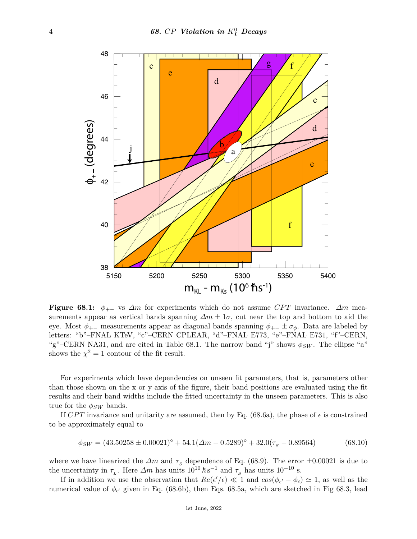

**Figure 68.1:**  $\phi_{+-}$  vs  $\Delta m$  for experiments which do not assume *CPT* invariance.  $\Delta m$  measurements appear as vertical bands spanning  $\Delta m \pm 1\sigma$ , cut near the top and bottom to aid the eye. Most  $\phi_{+-}$  measurements appear as diagonal bands spanning  $\phi_{+-} \pm \sigma_{\phi}$ . Data are labeled by letters: "b"–FNAL KTeV, "c"–CERN CPLEAR, "d"–FNAL E773, "e"–FNAL E731, "f"–CERN, "g"–CERN NA31, and are cited in Table 68.1. The narrow band "j" shows  $\phi_{SW}$ . The ellipse "a" shows the  $\chi^2 = 1$  contour of the fit result.

For experiments which have dependencies on unseen fit parameters, that is, parameters other than those shown on the x or y axis of the figure, their band positions are evaluated using the fit results and their band widths include the fitted uncertainty in the unseen parameters. This is also true for the  $\phi_{SW}$  bands.

If *CPT* invariance and unitarity are assumed, then by Eq. (68.6a), the phase of  $\epsilon$  is constrained to be approximately equal to

$$
\phi_{SW} = (43.50258 \pm 0.00021)^{\circ} + 54.1(\Delta m - 0.5289)^{\circ} + 32.0(\tau_s - 0.89564) \tag{68.10}
$$

where we have linearized the  $\Delta m$  and  $\tau_s$  dependence of Eq. (68.9). The error  $\pm 0.00021$  is due to the uncertainty in  $\tau_L$ . Here  $\Delta m$  has units  $10^{10} \hbar s^{-1}$  and  $\tau_S$  has units  $10^{-10}$  s.

If in addition we use the observation that  $Re(\epsilon'/\epsilon) \ll 1$  and  $cos(\phi_{\epsilon'} - \phi_{\epsilon}) \simeq 1$ , as well as the numerical value of  $\phi_{\epsilon'}$  given in Eq. (68.6b), then Eqs. 68.5a, which are sketched in Fig 68.3, lead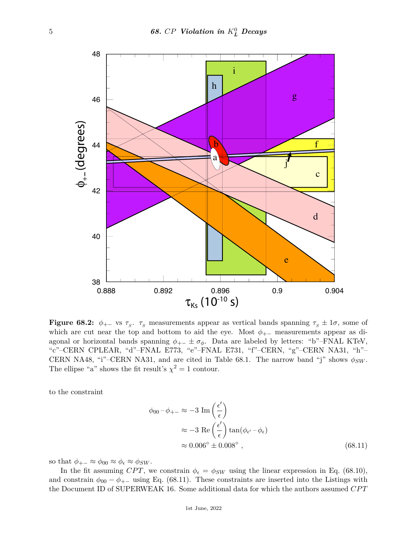

**Figure 68.2:**  $\phi_{+-}$  vs  $\tau_s$ .  $\tau_s$  measurements appear as vertical bands spanning  $\tau_s \pm 1\sigma$ , some of which are cut near the top and bottom to aid the eye. Most  $\phi_{+-}$  measurements appear as diagonal or horizontal bands spanning  $\phi_{+-} \pm \sigma_{\phi}$ . Data are labeled by letters: "b"–FNAL KTeV, "c"–CERN CPLEAR, "d"–FNAL E773, "e"–FNAL E731, "f"–CERN, "g"–CERN NA31, "h"– CERN NA48, "i"–CERN NA31, and are cited in Table 68.1. The narrow band "j" shows  $\phi_{SW}$ . The ellipse "a" shows the fit result's  $\chi^2 = 1$  contour.

to the constraint

$$
\phi_{00} - \phi_{+-} \approx -3 \operatorname{Im} \left( \frac{\epsilon'}{\epsilon} \right)
$$
  

$$
\approx -3 \operatorname{Re} \left( \frac{\epsilon'}{\epsilon} \right) \tan(\phi_{\epsilon'} - \phi_{\epsilon})
$$
  

$$
\approx 0.006^{\circ} \pm 0.008^{\circ} , \qquad (68.11)
$$

so that  $\phi_{+-} \approx \phi_{00} \approx \phi_{\epsilon} \approx \phi_{SW}$ .

In the fit assuming *CPT*, we constrain  $\phi_{\epsilon} = \phi_{SW}$  using the linear expression in Eq. (68.10), and constrain  $\phi_{00} - \phi_{+-}$  using Eq. (68.11). These constraints are inserted into the Listings with the Document ID of SUPERWEAK 16. Some additional data for which the authors assumed *CP T*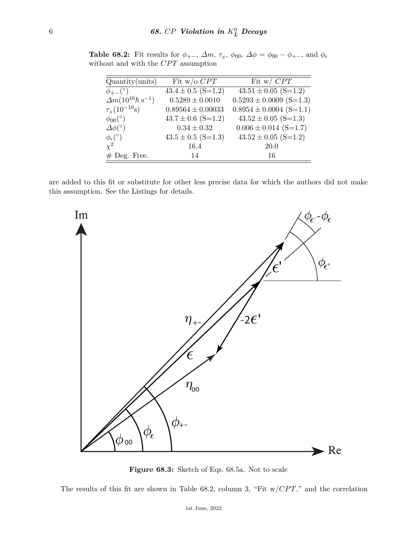| $\text{Quantity}(\text{units})$              | Fit w/o $CPT$                        | Fit w/ $CPT$                |
|----------------------------------------------|--------------------------------------|-----------------------------|
| $\phi_{+-}$ (°)                              | $43.4 \pm 0.5 \; (\overline{S=1.2})$ | $43.51 \pm 0.05$ (S=1.2)    |
| $\Delta m (10^{10} \hbar s^{-1})$            | $0.5289 \pm 0.0010$                  | $0.5293 \pm 0.0009$ (S=1.3) |
| $\tau_{\rm s}(10^{-10}{\rm s})$              | $0.89564 \pm 0.00033$                | $0.8954 \pm 0.0004$ (S=1.1) |
| $\phi_{00}$ <sup>(<math>\circ</math></sup> ) | $43.7 \pm 0.6$ (S=1.2)               | $43.52 \pm 0.05$ (S=1.3)    |
| $\Delta\phi$ <sup>(°)</sup>                  | $0.34 \pm 0.32$                      | $0.006 \pm 0.014$ (S=1.7)   |
| $\phi_{\epsilon}$ <sup>(°)</sup>             | $43.5 \pm 0.5$ (S=1.3)               | $43.52 \pm 0.05$ (S=1.2)    |
| $\chi^2$                                     | 16.4                                 | 20.0                        |
| $#$ Deg. Free.                               | 14                                   | 16                          |

**Table 68.2:** Fit results for  $\phi_{+-}$ ,  $\Delta m$ ,  $\tau_s$ ,  $\phi_{00}$ ,  $\Delta \phi = \phi_{00} - \phi_{+-}$ , and  $\phi_{\epsilon}$ without and with the  $CPT$  assumption

are added to this fit or substitute for other less precise data for which the authors did not make this assumption. See the Listings for details.



**Figure 68.3:** Sketch of Eqs. 68.5a. Not to scale

The results of this fit are shown in Table 68.2, column 3, "Fit w/*CPT*," and the correlation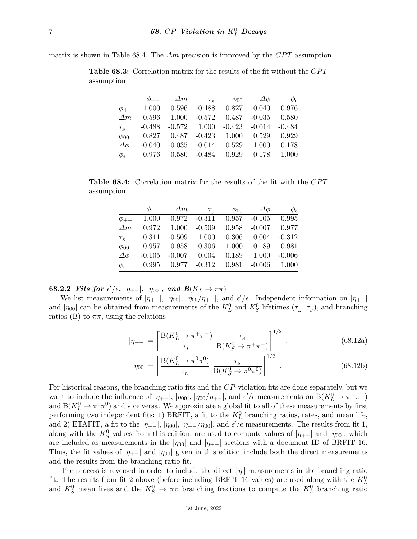matrix is shown in Table 68.4. The  $\Delta m$  precision is improved by the *CPT* assumption.

|                               |          | $\Delta m$                               | $\tau_{_S}$    | $\phi_{00}$                       | $\Delta\phi$                               | $\phi_{\epsilon}$ |
|-------------------------------|----------|------------------------------------------|----------------|-----------------------------------|--------------------------------------------|-------------------|
| $\phi_{+-}$                   |          |                                          |                |                                   | 1.000  0.596  -0.488  0.827  -0.040  0.976 |                   |
| $\Delta m$                    |          | $0.596$ 1.000                            |                |                                   | $-0.572$ $0.487$ $-0.035$ $0.580$          |                   |
| $\tau_{\scriptscriptstyle S}$ | $-0.488$ |                                          | $-0.572$ 1.000 | $-0.423$ $-0.014$                 |                                            | $-0.484$          |
| $\phi_{00}$                   |          | $0.827$ $0.487$ $-0.423$ $1.000$ $0.529$ |                |                                   |                                            | 0.929             |
| $\Delta\phi$                  | $-0.040$ |                                          |                | $-0.035$ $-0.014$ $0.529$ $1.000$ |                                            | 0.178             |
| $\phi_{\epsilon}$             |          | $0.976$ $0.580$ $-0.484$ $0.929$         |                |                                   | 0.178                                      | 1.000             |

**Table 68.3:** Correlation matrix for the results of the fit without the *CP T* assumption

**Table 68.4:** Correlation matrix for the results of the fit with the CPT assumption

|                               |          | $\Delta m$       | $\tau_{\rm s}$  | $\phi_{00}$ | $\Delta\phi$    | $\phi_{\epsilon}$ |
|-------------------------------|----------|------------------|-----------------|-------------|-----------------|-------------------|
| $\phi_{+-}$                   |          | $1.000 \t 0.972$ | $-0.311$        |             | $0.957 - 0.105$ | 0.995             |
| $\Delta m$                    | 0.972    | 1.000            | $-0.509$        | 0.958       | $-0.007$        | 0.977             |
| $\tau_{\scriptscriptstyle S}$ | $-0.311$ |                  | $-0.509$ 1.000  | $-0.306$    | 0.004           | $-0.312$          |
| $\phi_{00}$                   | 0.957    | 0.958            | $-0.306$        | 1.000       | 0.189           | 0.981             |
| $\Delta\phi$                  | $-0.105$ | $-0.007$         | 0.004           | 0.189       | 1.000           | $-0.006$          |
| $\phi_{\epsilon}$             | 0.995    |                  | $0.977 - 0.312$ | 0.981       | $-0.006$        | 1.000             |

 $68.2.2$  Fits for  $\epsilon'/\epsilon$ ,  $|\eta_{+-}|$ ,  $|\eta_{00}|$ , and  $B(K_L \to \pi \pi)$ 

We list measurements of  $|\eta_{+-}|$ ,  $|\eta_{00}|$ ,  $|\eta_{00}/\eta_{+-}|$ , and  $\epsilon'/\epsilon$ . Independent information on  $|\eta_{+-}|$ and  $|\eta_{00}|$  can be obtained from measurements of the  $K^0_L$  and  $K^0_S$  lifetimes  $(\tau_L, \tau_S)$ , and branching ratios (B) to  $\pi\pi$ , using the relations

$$
|\eta_{+-}| = \left[\frac{\mathcal{B}(K_L^0 \to \pi^+ \pi^-)}{\tau_L} \; \frac{\tau_S}{\mathcal{B}(K_S^0 \to \pi^+ \pi^-)}\right]^{1/2},\tag{68.12a}
$$

$$
|\eta_{00}| = \left[\frac{\mathcal{B}(K_L^0 \to \pi^0 \pi^0)}{\tau_L} \; \frac{\tau_S}{\mathcal{B}(K_S^0 \to \pi^0 \pi^0)}\right]^{1/2} \; . \tag{68.12b}
$$

For historical reasons, the branching ratio fits and the *CP*-violation fits are done separately, but we want to include the influence of  $|\eta_{+-}|$ ,  $|\eta_{00}|$ ,  $|\eta_{00}/\eta_{+-}|$ , and  $\epsilon'/\epsilon$  measurements on  $B(K^0_L \to \pi^+\pi^-)$ and  $B(K_L^0 \to \pi^0 \pi^0)$  and vice versa. We approximate a global fit to all of these measurements by first performing two independent fits: 1) BRFIT, a fit to the  $K_L^0$  branching ratios, rates, and mean life, and 2) ETAFIT, a fit to the  $|\eta_{+-}|$ ,  $|\eta_{00}|$ ,  $|\eta_{+-}/\eta_{00}|$ , and  $\epsilon'/\epsilon$  measurements. The results from fit 1, along with the  $K_S^0$  values from this edition, are used to compute values of  $|\eta_{+-}|$  and  $|\eta_{00}|$ , which are included as measurements in the  $|\eta_{00}|$  and  $|\eta_{+-}|$  sections with a document ID of BRFIT 16. Thus, the fit values of  $|\eta_{+-}|$  and  $|\eta_{00}|$  given in this edition include both the direct measurements and the results from the branching ratio fit.

The process is reversed in order to include the direct  $|\eta|$  measurements in the branching ratio fit. The results from fit 2 above (before including BRFIT 16 values) are used along with the  $K^0_L$ and  $K_S^0$  mean lives and the  $K_S^0 \rightarrow \pi \pi$  branching fractions to compute the  $K_L^0$  branching ratio